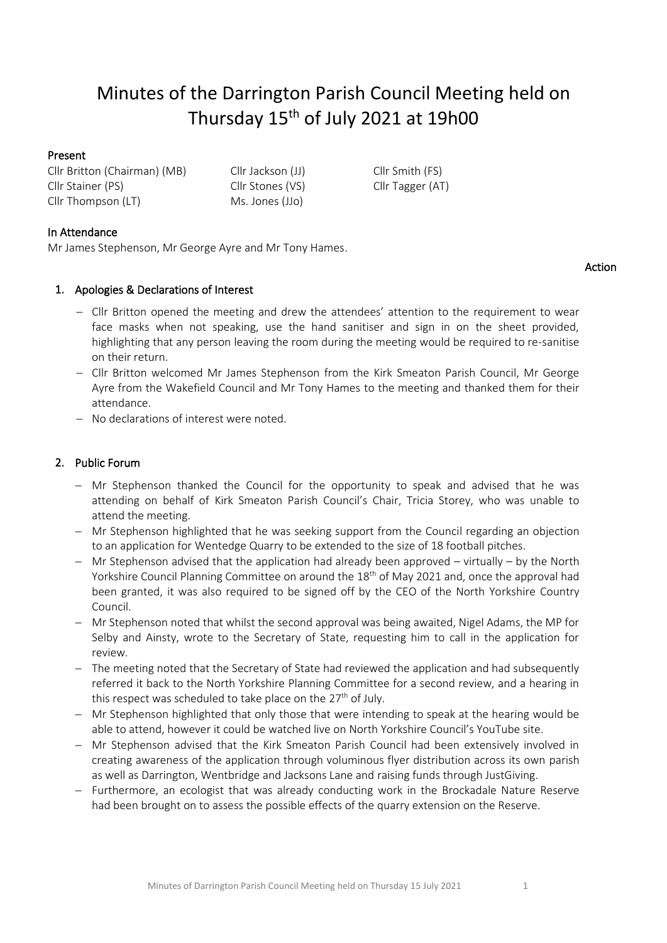# Minutes of the Darrington Parish Council Meeting held on Thursday 15<sup>th</sup> of July 2021 at 19h00

## Present

Cllr Britton (Chairman) (MB) Cllr Jackson (JJ) Cllr Smith (FS) Cllr Stainer (PS) Cllr Stones (VS) Cllr Tagger (AT) Cllr Thompson (LT) Ms. Jones (JJo)

# In Attendance

Mr James Stephenson, Mr George Ayre and Mr Tony Hames.

# 1. Apologies & Declarations of Interest

- − Cllr Britton opened the meeting and drew the attendees' attention to the requirement to wear face masks when not speaking, use the hand sanitiser and sign in on the sheet provided, highlighting that any person leaving the room during the meeting would be required to re-sanitise on their return.
- − Cllr Britton welcomed Mr James Stephenson from the Kirk Smeaton Parish Council, Mr George Ayre from the Wakefield Council and Mr Tony Hames to the meeting and thanked them for their attendance.
- − No declarations of interest were noted.

# 2. Public Forum

- − Mr Stephenson thanked the Council for the opportunity to speak and advised that he was attending on behalf of Kirk Smeaton Parish Council's Chair, Tricia Storey, who was unable to attend the meeting.
- − Mr Stephenson highlighted that he was seeking support from the Council regarding an objection to an application for Wentedge Quarry to be extended to the size of 18 football pitches.
- − Mr Stephenson advised that the application had already been approved virtually by the North Yorkshire Council Planning Committee on around the 18<sup>th</sup> of May 2021 and, once the approval had been granted, it was also required to be signed off by the CEO of the North Yorkshire Country Council.
- − Mr Stephenson noted that whilst the second approval was being awaited, Nigel Adams, the MP for Selby and Ainsty, wrote to the Secretary of State, requesting him to call in the application for review.
- − The meeting noted that the Secretary of State had reviewed the application and had subsequently referred it back to the North Yorkshire Planning Committee for a second review, and a hearing in this respect was scheduled to take place on the 27<sup>th</sup> of July.
- − Mr Stephenson highlighted that only those that were intending to speak at the hearing would be able to attend, however it could be watched live on North Yorkshire Council's YouTube site.
- − Mr Stephenson advised that the Kirk Smeaton Parish Council had been extensively involved in creating awareness of the application through voluminous flyer distribution across its own parish as well as Darrington, Wentbridge and Jacksons Lane and raising funds through JustGiving.
- − Furthermore, an ecologist that was already conducting work in the Brockadale Nature Reserve had been brought on to assess the possible effects of the quarry extension on the Reserve.

Action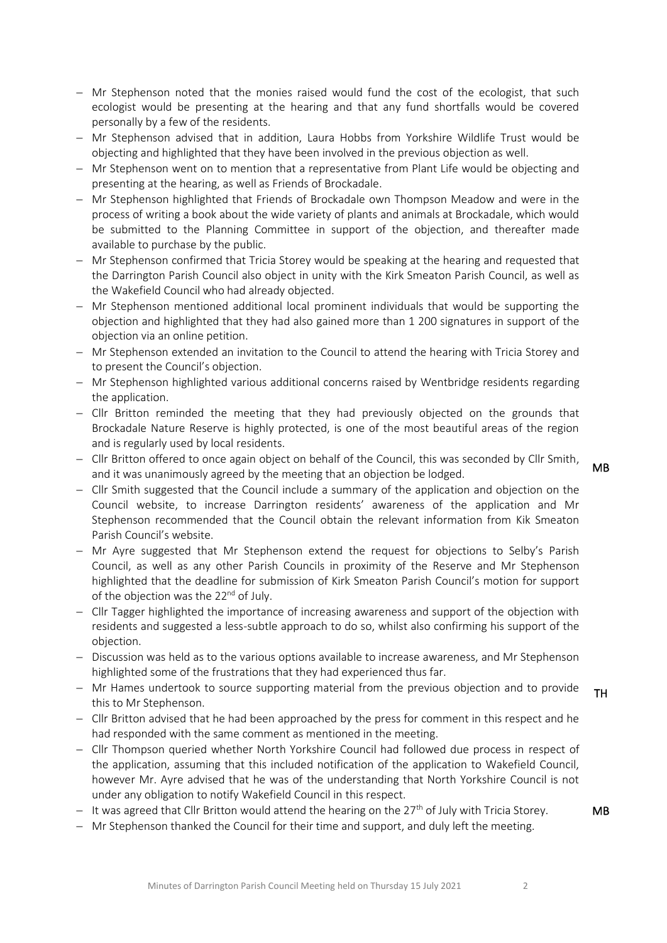- − Mr Stephenson noted that the monies raised would fund the cost of the ecologist, that such ecologist would be presenting at the hearing and that any fund shortfalls would be covered personally by a few of the residents.
- − Mr Stephenson advised that in addition, Laura Hobbs from Yorkshire Wildlife Trust would be objecting and highlighted that they have been involved in the previous objection as well.
- − Mr Stephenson went on to mention that a representative from Plant Life would be objecting and presenting at the hearing, as well as Friends of Brockadale.
- − Mr Stephenson highlighted that Friends of Brockadale own Thompson Meadow and were in the process of writing a book about the wide variety of plants and animals at Brockadale, which would be submitted to the Planning Committee in support of the objection, and thereafter made available to purchase by the public.
- − Mr Stephenson confirmed that Tricia Storey would be speaking at the hearing and requested that the Darrington Parish Council also object in unity with the Kirk Smeaton Parish Council, as well as the Wakefield Council who had already objected.
- − Mr Stephenson mentioned additional local prominent individuals that would be supporting the objection and highlighted that they had also gained more than 1 200 signatures in support of the objection via an online petition.
- − Mr Stephenson extended an invitation to the Council to attend the hearing with Tricia Storey and to present the Council's objection.
- − Mr Stephenson highlighted various additional concerns raised by Wentbridge residents regarding the application.
- − Cllr Britton reminded the meeting that they had previously objected on the grounds that Brockadale Nature Reserve is highly protected, is one of the most beautiful areas of the region and is regularly used by local residents.
- − Cllr Britton offered to once again object on behalf of the Council, this was seconded by Cllr Smith, and it was unanimously agreed by the meeting that an objection be lodged.
- MB

MB

- − Cllr Smith suggested that the Council include a summary of the application and objection on the Council website, to increase Darrington residents' awareness of the application and Mr Stephenson recommended that the Council obtain the relevant information from Kik Smeaton Parish Council's website.
- − Mr Ayre suggested that Mr Stephenson extend the request for objections to Selby's Parish Council, as well as any other Parish Councils in proximity of the Reserve and Mr Stephenson highlighted that the deadline for submission of Kirk Smeaton Parish Council's motion for support of the objection was the 22<sup>nd</sup> of July.
- − Cllr Tagger highlighted the importance of increasing awareness and support of the objection with residents and suggested a less-subtle approach to do so, whilst also confirming his support of the objection.
- − Discussion was held as to the various options available to increase awareness, and Mr Stephenson highlighted some of the frustrations that they had experienced thus far.
- − Mr Hames undertook to source supporting material from the previous objection and to provide this to Mr Stephenson. TH
- − Cllr Britton advised that he had been approached by the press for comment in this respect and he had responded with the same comment as mentioned in the meeting.
- − Cllr Thompson queried whether North Yorkshire Council had followed due process in respect of the application, assuming that this included notification of the application to Wakefield Council, however Mr. Ayre advised that he was of the understanding that North Yorkshire Council is not under any obligation to notify Wakefield Council in this respect.
- − It was agreed that Cllr Britton would attend the hearing on the 27<sup>th</sup> of July with Tricia Storey.
- − Mr Stephenson thanked the Council for their time and support, and duly left the meeting.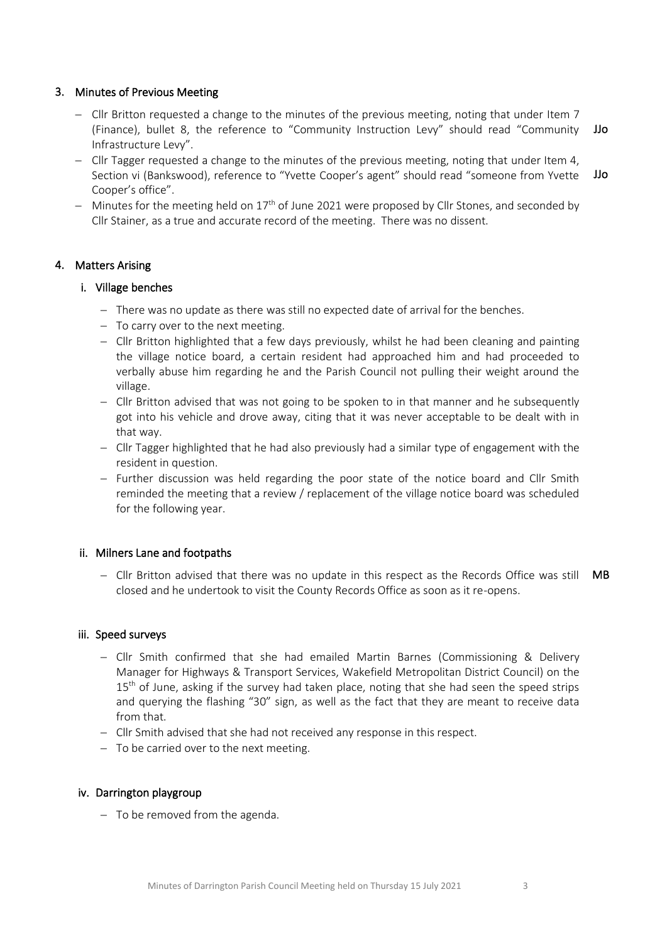## 3. Minutes of Previous Meeting

- − Cllr Britton requested a change to the minutes of the previous meeting, noting that under Item 7 (Finance), bullet 8, the reference to "Community Instruction Levy" should read "Community Infrastructure Levy". JJo
- − Cllr Tagger requested a change to the minutes of the previous meeting, noting that under Item 4, Section vi (Bankswood), reference to "Yvette Cooper's agent" should read "someone from Yvette Cooper's office". JJo
- − Minutes for the meeting held on 17<sup>th</sup> of June 2021 were proposed by Cllr Stones, and seconded by Cllr Stainer, as a true and accurate record of the meeting. There was no dissent.

## 4. Matters Arising

#### i. Village benches

- − There was no update as there was still no expected date of arrival for the benches.
- − To carry over to the next meeting.
- − Cllr Britton highlighted that a few days previously, whilst he had been cleaning and painting the village notice board, a certain resident had approached him and had proceeded to verbally abuse him regarding he and the Parish Council not pulling their weight around the village.
- − Cllr Britton advised that was not going to be spoken to in that manner and he subsequently got into his vehicle and drove away, citing that it was never acceptable to be dealt with in that way.
- − Cllr Tagger highlighted that he had also previously had a similar type of engagement with the resident in question.
- − Further discussion was held regarding the poor state of the notice board and Cllr Smith reminded the meeting that a review / replacement of the village notice board was scheduled for the following year.

#### ii. Milners Lane and footpaths

− Cllr Britton advised that there was no update in this respect as the Records Office was still closed and he undertook to visit the County Records Office as soon as it re-opens. MB

#### iii. Speed surveys

- − Cllr Smith confirmed that she had emailed Martin Barnes (Commissioning & Delivery Manager for Highways & Transport Services, Wakefield Metropolitan District Council) on the 15<sup>th</sup> of June, asking if the survey had taken place, noting that she had seen the speed strips and querying the flashing "30" sign, as well as the fact that they are meant to receive data from that.
- − Cllr Smith advised that she had not received any response in this respect.
- − To be carried over to the next meeting.

## iv. Darrington playgroup

− To be removed from the agenda.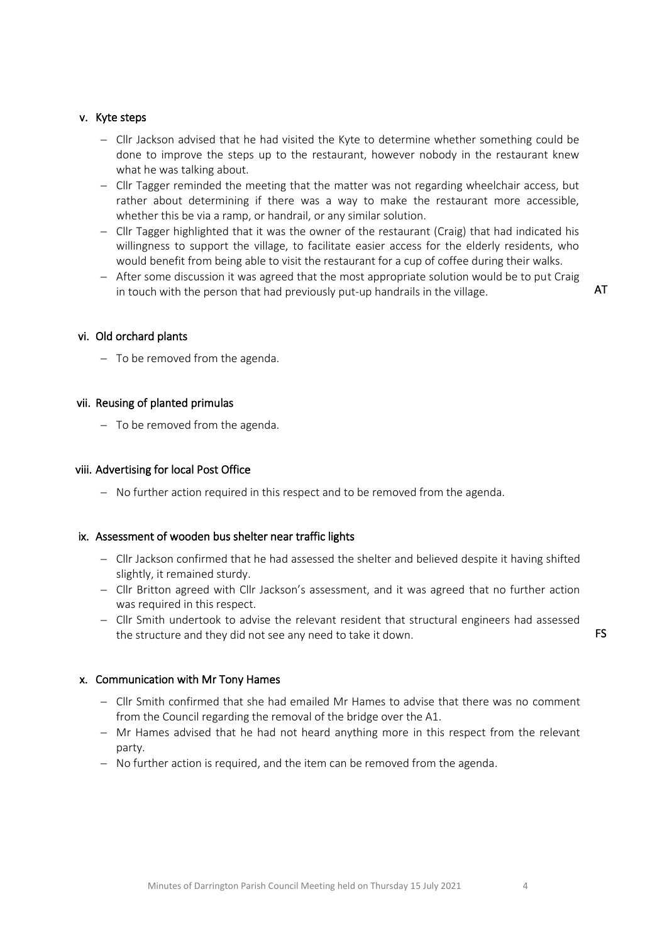#### v. Kyte steps

- − Cllr Jackson advised that he had visited the Kyte to determine whether something could be done to improve the steps up to the restaurant, however nobody in the restaurant knew what he was talking about.
- − Cllr Tagger reminded the meeting that the matter was not regarding wheelchair access, but rather about determining if there was a way to make the restaurant more accessible, whether this be via a ramp, or handrail, or any similar solution.
- − Cllr Tagger highlighted that it was the owner of the restaurant (Craig) that had indicated his willingness to support the village, to facilitate easier access for the elderly residents, who would benefit from being able to visit the restaurant for a cup of coffee during their walks.
- − After some discussion it was agreed that the most appropriate solution would be to put Craig in touch with the person that had previously put-up handrails in the village.

AT

#### vi. Old orchard plants

− To be removed from the agenda.

#### vii. Reusing of planted primulas

− To be removed from the agenda.

#### viii. Advertising for local Post Office

− No further action required in this respect and to be removed from the agenda.

#### ix. Assessment of wooden bus shelter near traffic lights

- − Cllr Jackson confirmed that he had assessed the shelter and believed despite it having shifted slightly, it remained sturdy.
- − Cllr Britton agreed with Cllr Jackson's assessment, and it was agreed that no further action was required in this respect.
- − Cllr Smith undertook to advise the relevant resident that structural engineers had assessed the structure and they did not see any need to take it down.

#### x. Communication with Mr Tony Hames

- − Cllr Smith confirmed that she had emailed Mr Hames to advise that there was no comment from the Council regarding the removal of the bridge over the A1.
- − Mr Hames advised that he had not heard anything more in this respect from the relevant party.
- − No further action is required, and the item can be removed from the agenda.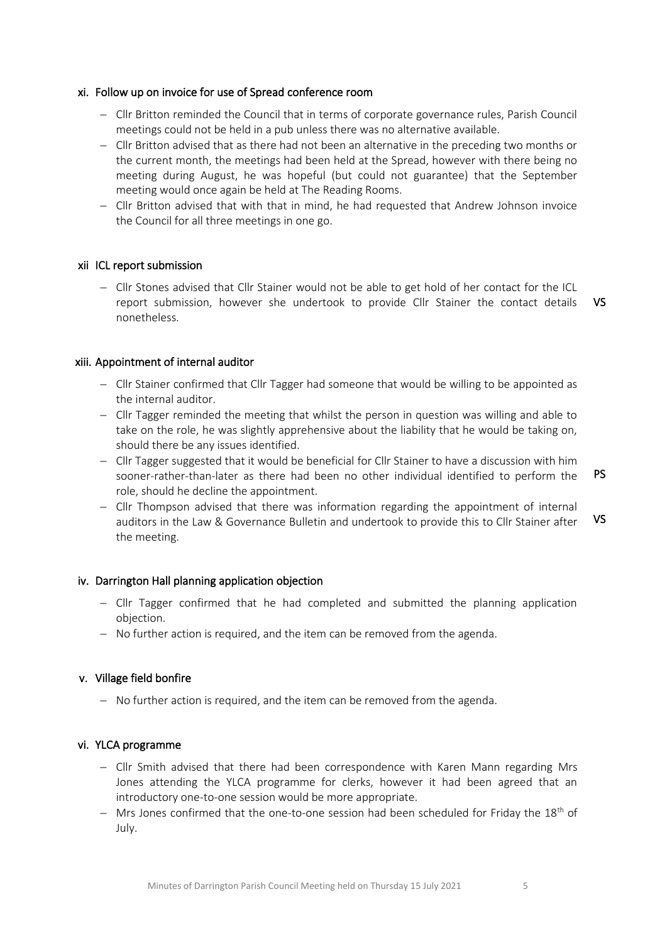#### xi. Follow up on invoice for use of Spread conference room

- − Cllr Britton reminded the Council that in terms of corporate governance rules, Parish Council meetings could not be held in a pub unless there was no alternative available.
- − Cllr Britton advised that as there had not been an alternative in the preceding two months or the current month, the meetings had been held at the Spread, however with there being no meeting during August, he was hopeful (but could not guarantee) that the September meeting would once again be held at The Reading Rooms.
- − Cllr Britton advised that with that in mind, he had requested that Andrew Johnson invoice the Council for all three meetings in one go.

#### xii ICL report submission

− Cllr Stones advised that Cllr Stainer would not be able to get hold of her contact for the ICL report submission, however she undertook to provide Cllr Stainer the contact details nonetheless. VS

## xiii. Appointment of internal auditor

- − Cllr Stainer confirmed that Cllr Tagger had someone that would be willing to be appointed as the internal auditor.
- − Cllr Tagger reminded the meeting that whilst the person in question was willing and able to take on the role, he was slightly apprehensive about the liability that he would be taking on, should there be any issues identified.
- − Cllr Tagger suggested that it would be beneficial for Cllr Stainer to have a discussion with him sooner-rather-than-later as there had been no other individual identified to perform the role, should he decline the appointment. PS
- − Cllr Thompson advised that there was information regarding the appointment of internal auditors in the Law & Governance Bulletin and undertook to provide this to Cllr Stainer after the meeting. VS

#### iv. Darrington Hall planning application objection

- − Cllr Tagger confirmed that he had completed and submitted the planning application objection.
- − No further action is required, and the item can be removed from the agenda.

#### v. Village field bonfire

− No further action is required, and the item can be removed from the agenda.

#### vi. YLCA programme

- − Cllr Smith advised that there had been correspondence with Karen Mann regarding Mrs Jones attending the YLCA programme for clerks, however it had been agreed that an introductory one-to-one session would be more appropriate.
- − Mrs Jones confirmed that the one-to-one session had been scheduled for Friday the 18<sup>th</sup> of July.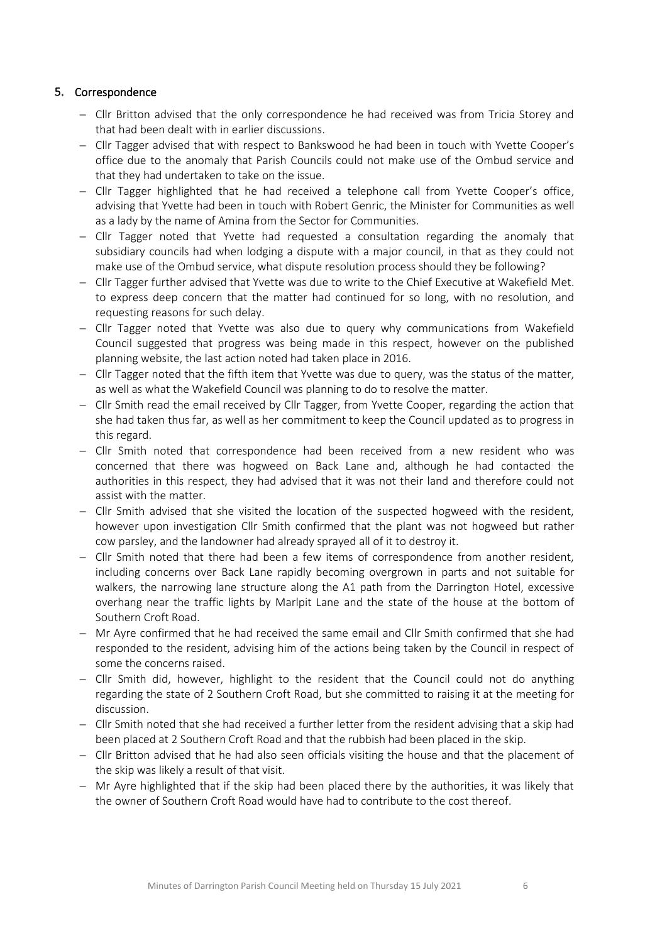# 5. Correspondence

- − Cllr Britton advised that the only correspondence he had received was from Tricia Storey and that had been dealt with in earlier discussions.
- − Cllr Tagger advised that with respect to Bankswood he had been in touch with Yvette Cooper's office due to the anomaly that Parish Councils could not make use of the Ombud service and that they had undertaken to take on the issue.
- − Cllr Tagger highlighted that he had received a telephone call from Yvette Cooper's office, advising that Yvette had been in touch with Robert Genric, the Minister for Communities as well as a lady by the name of Amina from the Sector for Communities.
- − Cllr Tagger noted that Yvette had requested a consultation regarding the anomaly that subsidiary councils had when lodging a dispute with a major council, in that as they could not make use of the Ombud service, what dispute resolution process should they be following?
- − Cllr Tagger further advised that Yvette was due to write to the Chief Executive at Wakefield Met. to express deep concern that the matter had continued for so long, with no resolution, and requesting reasons for such delay.
- − Cllr Tagger noted that Yvette was also due to query why communications from Wakefield Council suggested that progress was being made in this respect, however on the published planning website, the last action noted had taken place in 2016.
- − Cllr Tagger noted that the fifth item that Yvette was due to query, was the status of the matter, as well as what the Wakefield Council was planning to do to resolve the matter.
- − Cllr Smith read the email received by Cllr Tagger, from Yvette Cooper, regarding the action that she had taken thus far, as well as her commitment to keep the Council updated as to progress in this regard.
- − Cllr Smith noted that correspondence had been received from a new resident who was concerned that there was hogweed on Back Lane and, although he had contacted the authorities in this respect, they had advised that it was not their land and therefore could not assist with the matter.
- − Cllr Smith advised that she visited the location of the suspected hogweed with the resident, however upon investigation Cllr Smith confirmed that the plant was not hogweed but rather cow parsley, and the landowner had already sprayed all of it to destroy it.
- − Cllr Smith noted that there had been a few items of correspondence from another resident, including concerns over Back Lane rapidly becoming overgrown in parts and not suitable for walkers, the narrowing lane structure along the A1 path from the Darrington Hotel, excessive overhang near the traffic lights by Marlpit Lane and the state of the house at the bottom of Southern Croft Road.
- − Mr Ayre confirmed that he had received the same email and Cllr Smith confirmed that she had responded to the resident, advising him of the actions being taken by the Council in respect of some the concerns raised.
- − Cllr Smith did, however, highlight to the resident that the Council could not do anything regarding the state of 2 Southern Croft Road, but she committed to raising it at the meeting for discussion.
- − Cllr Smith noted that she had received a further letter from the resident advising that a skip had been placed at 2 Southern Croft Road and that the rubbish had been placed in the skip.
- − Cllr Britton advised that he had also seen officials visiting the house and that the placement of the skip was likely a result of that visit.
- − Mr Ayre highlighted that if the skip had been placed there by the authorities, it was likely that the owner of Southern Croft Road would have had to contribute to the cost thereof.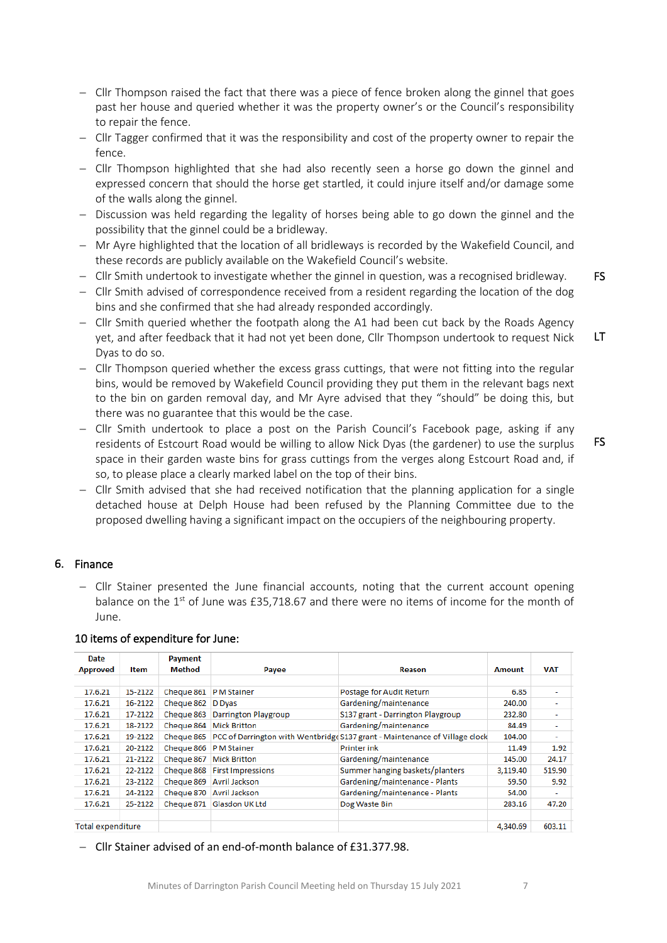- − Cllr Thompson raised the fact that there was a piece of fence broken along the ginnel that goes past her house and queried whether it was the property owner's or the Council's responsibility to repair the fence.
- − Cllr Tagger confirmed that it was the responsibility and cost of the property owner to repair the fence.
- − Cllr Thompson highlighted that she had also recently seen a horse go down the ginnel and expressed concern that should the horse get startled, it could injure itself and/or damage some of the walls along the ginnel.
- − Discussion was held regarding the legality of horses being able to go down the ginnel and the possibility that the ginnel could be a bridleway.
- − Mr Ayre highlighted that the location of all bridleways is recorded by the Wakefield Council, and these records are publicly available on the Wakefield Council's website.
- − Cllr Smith undertook to investigate whether the ginnel in question, was a recognised bridleway.
- − Cllr Smith advised of correspondence received from a resident regarding the location of the dog bins and she confirmed that she had already responded accordingly.
- − Cllr Smith queried whether the footpath along the A1 had been cut back by the Roads Agency yet, and after feedback that it had not yet been done, Cllr Thompson undertook to request Nick Dyas to do so. LT
- − Cllr Thompson queried whether the excess grass cuttings, that were not fitting into the regular bins, would be removed by Wakefield Council providing they put them in the relevant bags next to the bin on garden removal day, and Mr Ayre advised that they "should" be doing this, but there was no guarantee that this would be the case.
- − Cllr Smith undertook to place a post on the Parish Council's Facebook page, asking if any residents of Estcourt Road would be willing to allow Nick Dyas (the gardener) to use the surplus space in their garden waste bins for grass cuttings from the verges along Estcourt Road and, if so, to please place a clearly marked label on the top of their bins.
- − Cllr Smith advised that she had received notification that the planning application for a single detached house at Delph House had been refused by the Planning Committee due to the proposed dwelling having a significant impact on the occupiers of the neighbouring property.

#### 6. Finance

− Cllr Stainer presented the June financial accounts, noting that the current account opening balance on the  $1<sup>st</sup>$  of June was £35,718.67 and there were no items of income for the month of June.

|  |  |  | 10 items of expenditure for June: |  |  |
|--|--|--|-----------------------------------|--|--|
|--|--|--|-----------------------------------|--|--|

| Date                     |         | Payment       |                             |                                                                              |               |                          |
|--------------------------|---------|---------------|-----------------------------|------------------------------------------------------------------------------|---------------|--------------------------|
| <b>Approved</b>          | Item    | <b>Method</b> | Payee                       | Reason                                                                       | <b>Amount</b> | <b>VAT</b>               |
|                          |         |               |                             |                                                                              |               |                          |
| 17.6.21                  | 15-2122 | Cheque 861    | P M Stainer                 | Postage for Audit Return                                                     | 6.85          | ٠                        |
| 17.6.21                  | 16-2122 | Cheque 862    | <b>D</b> Dyas               | Gardening/maintenance                                                        | 240.00        | ۰                        |
| 17.6.21                  | 17-2122 | Cheque 863    | <b>Darrington Playgroup</b> | S137 grant - Darrington Playgroup                                            | 232.80        | ٠                        |
| 17.6.21                  | 18-2122 | Cheque 864    | <b>Mick Britton</b>         | Gardening/maintenance                                                        | 84.49         | $\overline{\phantom{a}}$ |
| 17.6.21                  | 19-2122 | Cheque 865    |                             | PCC of Darrington with Wentbridge \$137 grant - Maintenance of Village clock | 104.00        | ٠                        |
| 17.6.21                  | 20-2122 | Cheque 866    | P M Stainer                 | Printer ink                                                                  | 11.49         | 1.92                     |
| 17.6.21                  | 21-2122 | Cheque 867    | <b>Mick Britton</b>         | Gardening/maintenance                                                        | 145.00        | 24.17                    |
| 17.6.21                  | 22-2122 | Cheque 868    | <b>First Impressions</b>    | Summer hanging baskets/planters                                              | 3,119.40      | 519.90                   |
| 17.6.21                  | 23-2122 | Cheque 869    | <b>Avril Jackson</b>        | Gardening/maintenance - Plants                                               | 59.50         | 9.92                     |
| 17.6.21                  | 24-2122 | Cheque 870    | <b>Avril Jackson</b>        | Gardening/maintenance - Plants                                               | 54.00         | ÷                        |
| 17.6.21                  | 25-2122 | Cheque 871    | <b>Glasdon UK Ltd</b>       | Dog Waste Bin                                                                | 283.16        | 47.20                    |
|                          |         |               |                             |                                                                              |               |                          |
| <b>Total expenditure</b> |         |               |                             |                                                                              | 4,340.69      | 603.11                   |

− Cllr Stainer advised of an end-of-month balance of £31.377.98.

FS

FS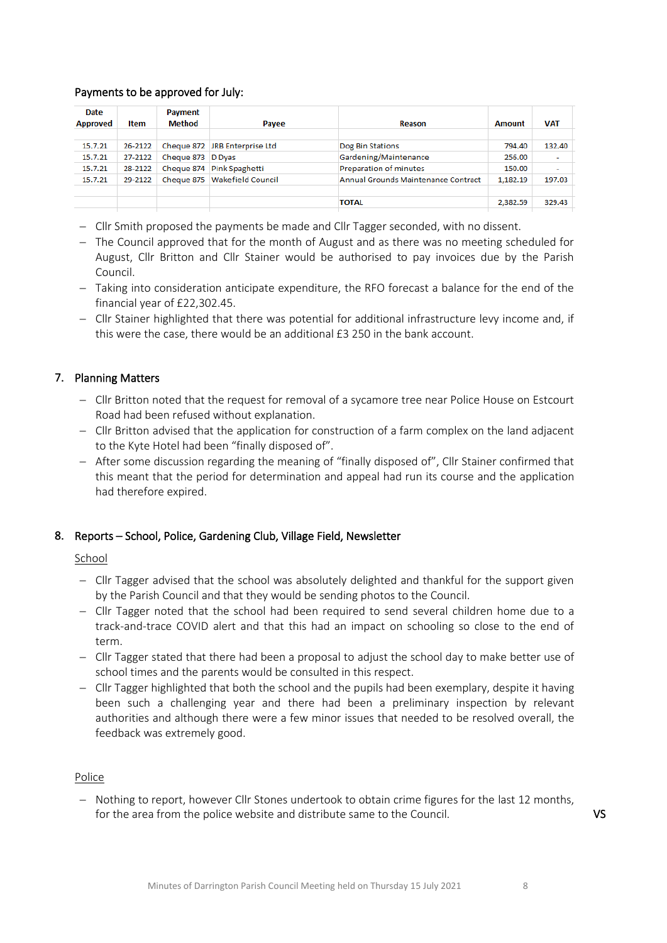## Payments to be approved for July:

| Date<br><b>Approved</b> | Item    | Payment<br>Method | Payee                         | Reason                              | <b>Amount</b> | <b>VAT</b>               |
|-------------------------|---------|-------------------|-------------------------------|-------------------------------------|---------------|--------------------------|
|                         |         |                   |                               |                                     |               |                          |
| 15.7.21                 | 26-2122 |                   | Cheque 872 JRB Enterprise Ltd | Dog Bin Stations                    | 794.40        | 132.40                   |
| 15.7.21                 | 27-2122 | Cheque 873 D Dyas |                               | Gardening/Maintenance               | 256.00        | $\overline{\phantom{a}}$ |
| 15.7.21                 | 28-2122 | Cheque 874        | Pink Spaghetti                | Preparation of minutes              | 150.00        | $\overline{\phantom{a}}$ |
| 15.7.21                 | 29-2122 | Cheque 875        | <b>Wakefield Council</b>      | Annual Grounds Maintenance Contract | 1,182.19      | 197.03                   |
|                         |         |                   |                               | <b>TOTAL</b>                        | 2,382.59      | 329.43                   |

- − Cllr Smith proposed the payments be made and Cllr Tagger seconded, with no dissent.
- − The Council approved that for the month of August and as there was no meeting scheduled for August, Cllr Britton and Cllr Stainer would be authorised to pay invoices due by the Parish Council.
- − Taking into consideration anticipate expenditure, the RFO forecast a balance for the end of the financial year of £22,302.45.
- − Cllr Stainer highlighted that there was potential for additional infrastructure levy income and, if this were the case, there would be an additional £3 250 in the bank account.

# 7. Planning Matters

- − Cllr Britton noted that the request for removal of a sycamore tree near Police House on Estcourt Road had been refused without explanation.
- − Cllr Britton advised that the application for construction of a farm complex on the land adjacent to the Kyte Hotel had been "finally disposed of".
- − After some discussion regarding the meaning of "finally disposed of", Cllr Stainer confirmed that this meant that the period for determination and appeal had run its course and the application had therefore expired.

# 8. Reports – School, Police, Gardening Club, Village Field, Newsletter

#### School

- − Cllr Tagger advised that the school was absolutely delighted and thankful for the support given by the Parish Council and that they would be sending photos to the Council.
- − Cllr Tagger noted that the school had been required to send several children home due to a track-and-trace COVID alert and that this had an impact on schooling so close to the end of term.
- − Cllr Tagger stated that there had been a proposal to adjust the school day to make better use of school times and the parents would be consulted in this respect.
- − Cllr Tagger highlighted that both the school and the pupils had been exemplary, despite it having been such a challenging year and there had been a preliminary inspection by relevant authorities and although there were a few minor issues that needed to be resolved overall, the feedback was extremely good.

#### Police

− Nothing to report, however Cllr Stones undertook to obtain crime figures for the last 12 months, for the area from the police website and distribute same to the Council.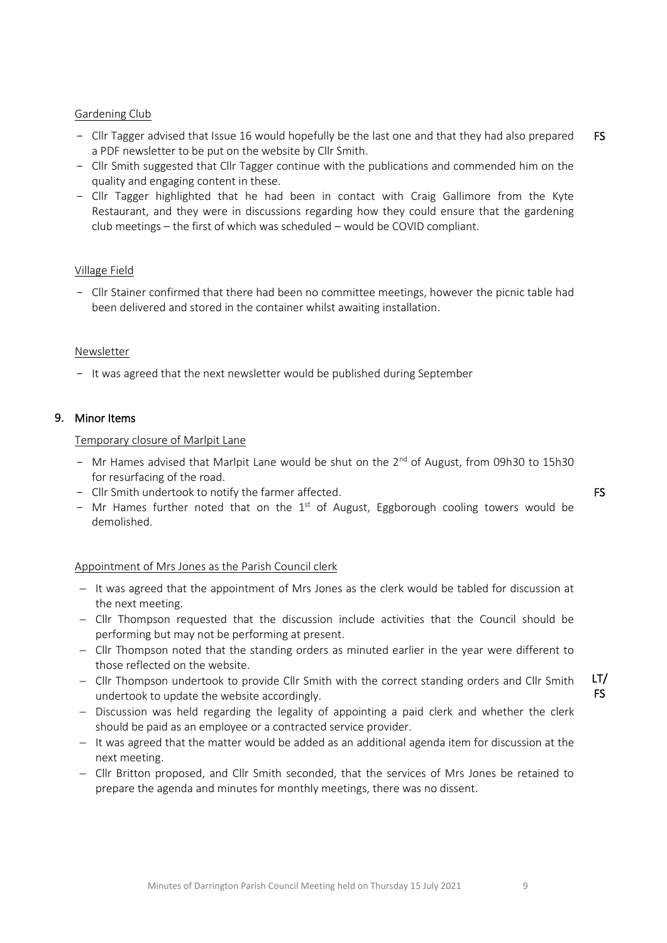#### Gardening Club

- Cllr Tagger advised that Issue 16 would hopefully be the last one and that they had also prepared a PDF newsletter to be put on the website by Cllr Smith. FS
- Cllr Smith suggested that Cllr Tagger continue with the publications and commended him on the quality and engaging content in these.
- Cllr Tagger highlighted that he had been in contact with Craig Gallimore from the Kyte Restaurant, and they were in discussions regarding how they could ensure that the gardening club meetings – the first of which was scheduled – would be COVID compliant.

#### Village Field

- Cllr Stainer confirmed that there had been no committee meetings, however the picnic table had been delivered and stored in the container whilst awaiting installation.

#### Newsletter

- It was agreed that the next newsletter would be published during September

#### 9. Minor Items

#### Temporary closure of Marlpit Lane

- Mr Hames advised that Marlpit Lane would be shut on the  $2<sup>nd</sup>$  of August, from 09h30 to 15h30 for resurfacing of the road.
- Cllr Smith undertook to notify the farmer affected.
- Mr Hames further noted that on the  $1<sup>st</sup>$  of August, Eggborough cooling towers would be demolished.

#### Appointment of Mrs Jones as the Parish Council clerk

- − It was agreed that the appointment of Mrs Jones as the clerk would be tabled for discussion at the next meeting.
- − Cllr Thompson requested that the discussion include activities that the Council should be performing but may not be performing at present.
- − Cllr Thompson noted that the standing orders as minuted earlier in the year were different to those reflected on the website.
- − Cllr Thompson undertook to provide Cllr Smith with the correct standing orders and Cllr Smith undertook to update the website accordingly.
- − Discussion was held regarding the legality of appointing a paid clerk and whether the clerk should be paid as an employee or a contracted service provider.
- − It was agreed that the matter would be added as an additional agenda item for discussion at the next meeting.
- − Cllr Britton proposed, and Cllr Smith seconded, that the services of Mrs Jones be retained to prepare the agenda and minutes for monthly meetings, there was no dissent.

FS

LT/ FS